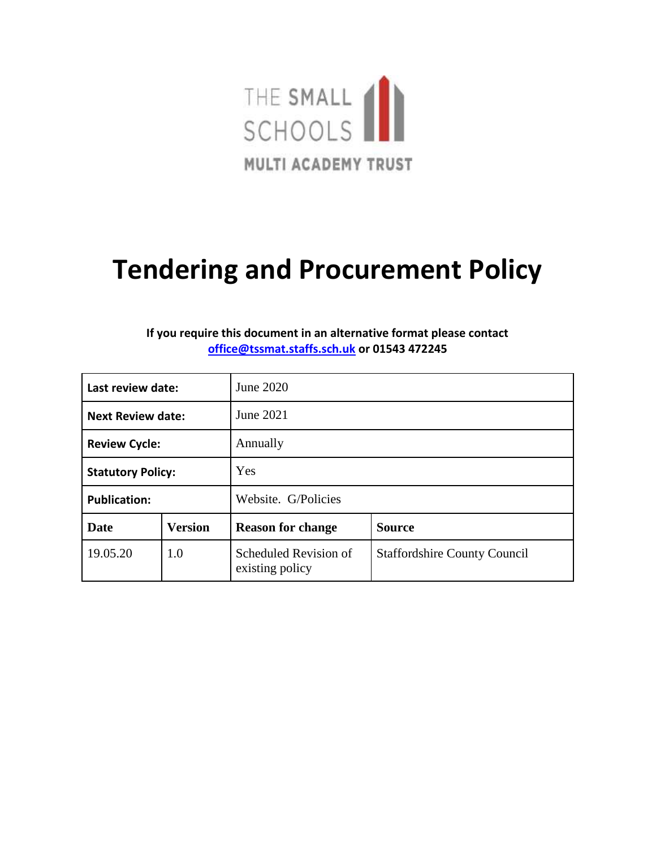

# **Tendering and Procurement Policy**

## **If you require this document in an alternative format please contact [office@tssmat.staffs.sch.uk](mailto:office@tssmat.staffs.sch.uk) or 01543 472245**

| Last review date:        |                | June 2020                                |                                     |
|--------------------------|----------------|------------------------------------------|-------------------------------------|
| <b>Next Review date:</b> |                | June 2021                                |                                     |
| <b>Review Cycle:</b>     |                | Annually                                 |                                     |
| <b>Statutory Policy:</b> |                | Yes                                      |                                     |
| <b>Publication:</b>      |                | Website. G/Policies                      |                                     |
| Date                     | <b>Version</b> | <b>Reason for change</b>                 | <b>Source</b>                       |
| 19.05.20                 | 1.0            | Scheduled Revision of<br>existing policy | <b>Staffordshire County Council</b> |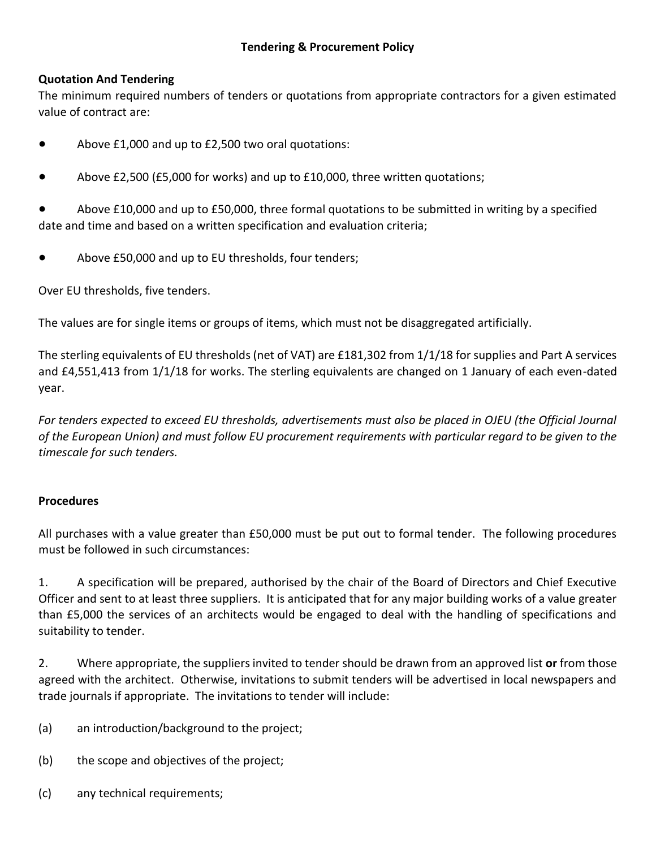## **Quotation And Tendering**

The minimum required numbers of tenders or quotations from appropriate contractors for a given estimated value of contract are:

- Above £1,000 and up to £2,500 two oral quotations:
- Above £2,500 (£5,000 for works) and up to £10,000, three written quotations;

Above £10,000 and up to £50,000, three formal quotations to be submitted in writing by a specified date and time and based on a written specification and evaluation criteria;

● Above £50,000 and up to EU thresholds, four tenders;

Over EU thresholds, five tenders.

The values are for single items or groups of items, which must not be disaggregated artificially.

The sterling equivalents of EU thresholds (net of VAT) are £181,302 from 1/1/18 for supplies and Part A services and £4,551,413 from 1/1/18 for works. The sterling equivalents are changed on 1 January of each even-dated year.

For tenders expected to exceed EU thresholds, advertisements must also be placed in OJEU (the Official Journal *of the European Union) and must follow EU procurement requirements with particular regard to be given to the timescale for such tenders.* 

### **Procedures**

All purchases with a value greater than £50,000 must be put out to formal tender. The following procedures must be followed in such circumstances:

1. A specification will be prepared, authorised by the chair of the Board of Directors and Chief Executive Officer and sent to at least three suppliers. It is anticipated that for any major building works of a value greater than £5,000 the services of an architects would be engaged to deal with the handling of specifications and suitability to tender.

2. Where appropriate, the suppliers invited to tender should be drawn from an approved list **or** from those agreed with the architect. Otherwise, invitations to submit tenders will be advertised in local newspapers and trade journals if appropriate. The invitations to tender will include:

- (a) an introduction/background to the project;
- (b) the scope and objectives of the project;
- (c) any technical requirements;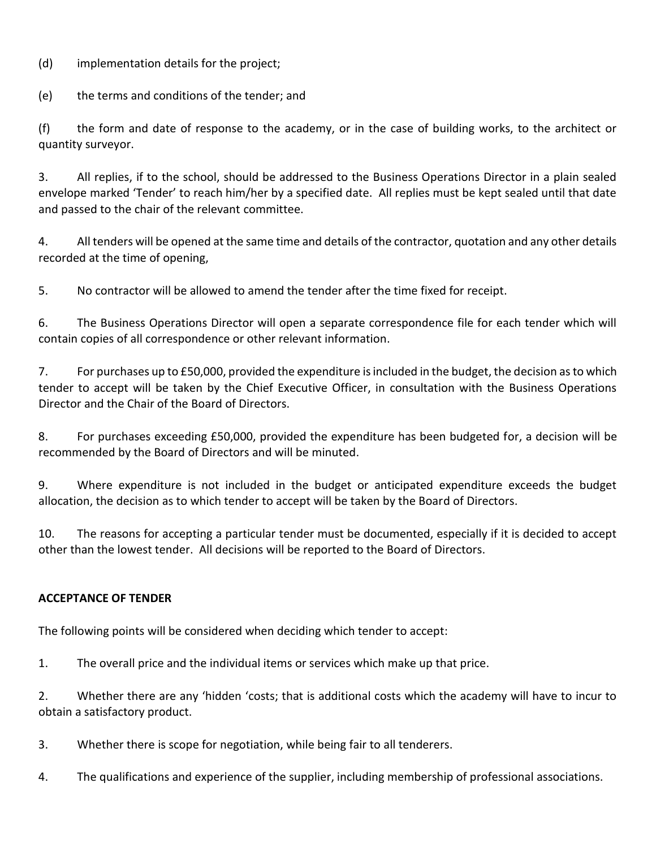(d) implementation details for the project;

(e) the terms and conditions of the tender; and

(f) the form and date of response to the academy, or in the case of building works, to the architect or quantity surveyor.

3. All replies, if to the school, should be addressed to the Business Operations Director in a plain sealed envelope marked 'Tender' to reach him/her by a specified date. All replies must be kept sealed until that date and passed to the chair of the relevant committee.

4. All tenders will be opened at the same time and details of the contractor, quotation and any other details recorded at the time of opening,

5. No contractor will be allowed to amend the tender after the time fixed for receipt.

6. The Business Operations Director will open a separate correspondence file for each tender which will contain copies of all correspondence or other relevant information.

7. For purchases up to £50,000, provided the expenditure is included in the budget, the decision as to which tender to accept will be taken by the Chief Executive Officer, in consultation with the Business Operations Director and the Chair of the Board of Directors.

8. For purchases exceeding £50,000, provided the expenditure has been budgeted for, a decision will be recommended by the Board of Directors and will be minuted.

9. Where expenditure is not included in the budget or anticipated expenditure exceeds the budget allocation, the decision as to which tender to accept will be taken by the Board of Directors.

10. The reasons for accepting a particular tender must be documented, especially if it is decided to accept other than the lowest tender. All decisions will be reported to the Board of Directors.

### **ACCEPTANCE OF TENDER**

The following points will be considered when deciding which tender to accept:

1. The overall price and the individual items or services which make up that price.

2. Whether there are any 'hidden 'costs; that is additional costs which the academy will have to incur to obtain a satisfactory product.

3. Whether there is scope for negotiation, while being fair to all tenderers.

4. The qualifications and experience of the supplier, including membership of professional associations.